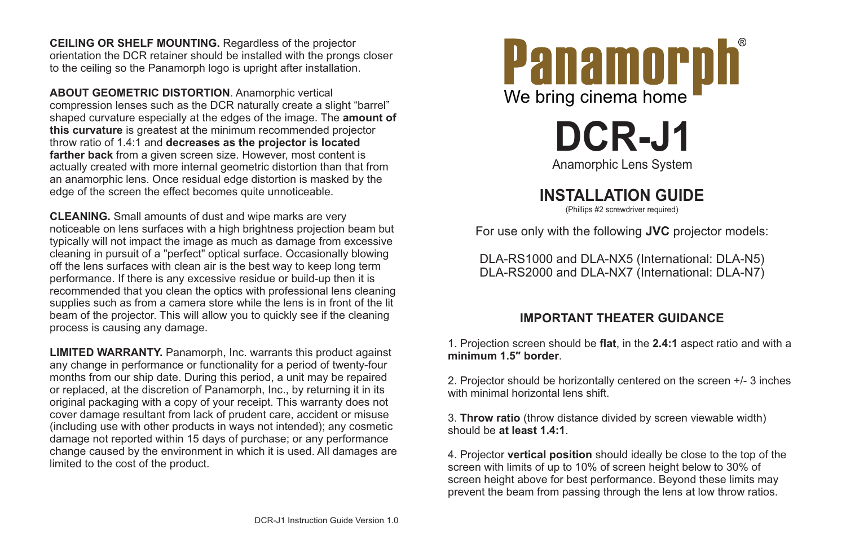

**DCR-J1**

## **INSTALLATION GUIDE**

(Phillips #2 screwdriver required)



**CEILING OR SHELF MOUNTING.** Regardless of the projector orientation the DCR retainer should be installed with the prongs closer to the ceiling so the Panamorph logo is upright after installation.

**LIMITED WARRANTY.** Panamorph, Inc. warrants this product against any change in performance or functionality for a period of twenty-four months from our ship date. During this period, a unit may be repaired or replaced, at the discretion of Panamorph, Inc., by returning it in its original packaging with a copy of your receipt. This warranty does not cover damage resultant from lack of prudent care, accident or misuse (including use with other products in ways not intended); any cosmetic damage not reported within 15 days of purchase; or any performance change caused by the environment in which it is used. All damages are limited to the cost of the product.

2. Projector should be horizontally centered on the screen +/- 3 inches with minimal horizontal lens shift.

**ABOUT GEOMETRIC DISTORTION**. Anamorphic vertical compression lenses such as the DCR naturally create a slight "barrel" shaped curvature especially at the edges of the image. The **amount of this curvature** is greatest at the minimum recommended projector throw ratio of 1.4:1 and **decreases as the projector is located farther back** from a given screen size. However, most content is actually created with more internal geometric distortion than that from an anamorphic lens. Once residual edge distortion is masked by the edge of the screen the effect becomes quite unnoticeable.

**CLEANING.** Small amounts of dust and wipe marks are very noticeable on lens surfaces with a high brightness projection beam but typically will not impact the image as much as damage from excessive cleaning in pursuit of a "perfect" optical surface. Occasionally blowing off the lens surfaces with clean air is the best way to keep long term performance. If there is any excessive residue or build-up then it is recommended that you clean the optics with professional lens cleaning supplies such as from a camera store while the lens is in front of the lit beam of the projector. This will allow you to quickly see if the cleaning process is causing any damage.

For use only with the following **JVC** projector models:

DLA-RS1000 and DLA-NX5 (International: DLA-N5) DLA-RS2000 and DLA-NX7 (International: DLA-N7)

1. Projection screen should be **flat**, in the **2.4:1** aspect ratio and with a **minimum 1.5″ border**.

## **IMPORTANT THEATER GUIDANCE**

3. **Throw ratio** (throw distance divided by screen viewable width) should be **at least 1.4:1**.

4. Projector **vertical position** should ideally be close to the top of the screen with limits of up to 10% of screen height below to 30% of screen height above for best performance. Beyond these limits may prevent the beam from passing through the lens at low throw ratios.